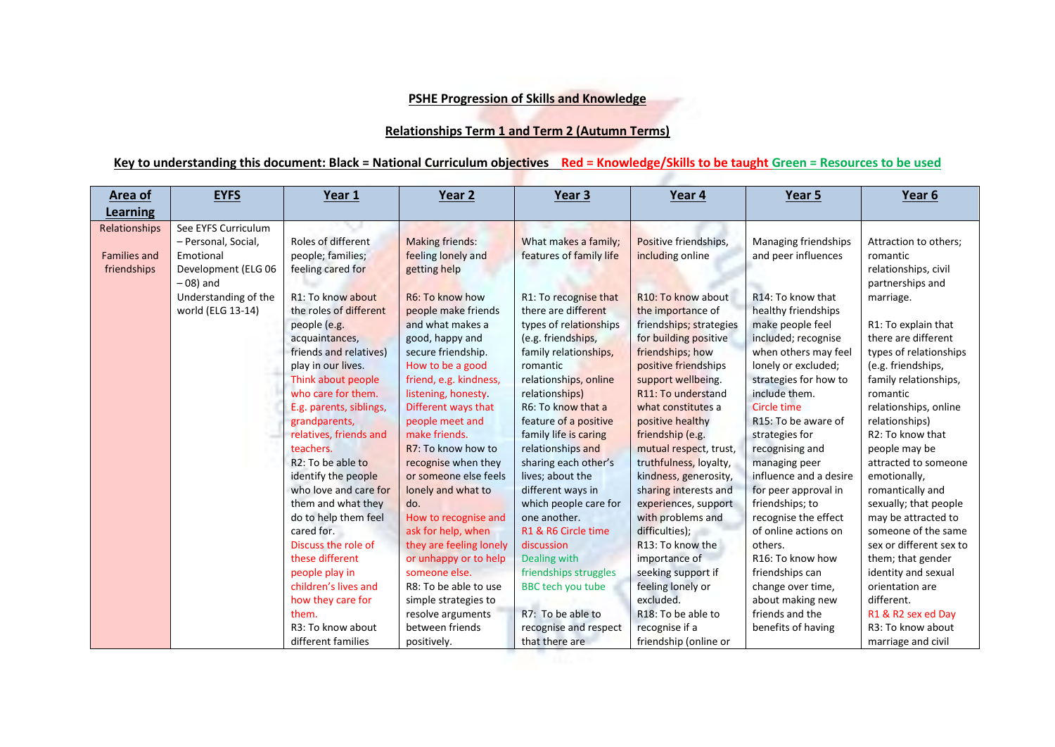## **PSHE Progression of Skills and Knowledge**

## **Relationships Term 1 and Term 2 (Autumn Terms)**

## **Key to understanding this document: Black = National Curriculum objectives Red = Knowledge/Skills to be taught Green = Resources to be used**

| <b>Learning</b><br>Relationships   |                                                                                                                                            |                                                                                                                                                                                                                                                                                                                                                                                                                                                                                                                                                                | Year 2                                                                                                                                                                                                                                                                                                                                                                                                                                                                                                                                             | Year 3                                                                                                                                                                                                                                                                                                                                                                                                                                                                                                                                    | Year 4                                                                                                                                                                                                                                                                                                                                                                                                                                                                                                                                                           | Year 5                                                                                                                                                                                                                                                                                                                                                                                                                                                                                                                           | Year 6                                                                                                                                                                                                                                                                                                                                                                                                                                                                                                                                                   |
|------------------------------------|--------------------------------------------------------------------------------------------------------------------------------------------|----------------------------------------------------------------------------------------------------------------------------------------------------------------------------------------------------------------------------------------------------------------------------------------------------------------------------------------------------------------------------------------------------------------------------------------------------------------------------------------------------------------------------------------------------------------|----------------------------------------------------------------------------------------------------------------------------------------------------------------------------------------------------------------------------------------------------------------------------------------------------------------------------------------------------------------------------------------------------------------------------------------------------------------------------------------------------------------------------------------------------|-------------------------------------------------------------------------------------------------------------------------------------------------------------------------------------------------------------------------------------------------------------------------------------------------------------------------------------------------------------------------------------------------------------------------------------------------------------------------------------------------------------------------------------------|------------------------------------------------------------------------------------------------------------------------------------------------------------------------------------------------------------------------------------------------------------------------------------------------------------------------------------------------------------------------------------------------------------------------------------------------------------------------------------------------------------------------------------------------------------------|----------------------------------------------------------------------------------------------------------------------------------------------------------------------------------------------------------------------------------------------------------------------------------------------------------------------------------------------------------------------------------------------------------------------------------------------------------------------------------------------------------------------------------|----------------------------------------------------------------------------------------------------------------------------------------------------------------------------------------------------------------------------------------------------------------------------------------------------------------------------------------------------------------------------------------------------------------------------------------------------------------------------------------------------------------------------------------------------------|
|                                    |                                                                                                                                            |                                                                                                                                                                                                                                                                                                                                                                                                                                                                                                                                                                |                                                                                                                                                                                                                                                                                                                                                                                                                                                                                                                                                    |                                                                                                                                                                                                                                                                                                                                                                                                                                                                                                                                           |                                                                                                                                                                                                                                                                                                                                                                                                                                                                                                                                                                  |                                                                                                                                                                                                                                                                                                                                                                                                                                                                                                                                  |                                                                                                                                                                                                                                                                                                                                                                                                                                                                                                                                                          |
| <b>Families and</b><br>friendships | See EYFS Curriculum<br>- Personal, Social,<br>Emotional<br>Development (ELG 06<br>$-08$ ) and<br>Understanding of the<br>world (ELG 13-14) | Roles of different<br>people; families;<br>feeling cared for<br>R1: To know about<br>the roles of different<br>people (e.g.<br>acquaintances,<br>friends and relatives)<br>play in our lives.<br>Think about people<br>who care for them.<br>E.g. parents, siblings,<br>grandparents,<br>relatives, friends and<br>teachers.<br>R <sub>2</sub> : To be able to<br>identify the people<br>who love and care for<br>them and what they<br>do to help them feel<br>cared for.<br>Discuss the role of<br>these different<br>people play in<br>children's lives and | <b>Making friends:</b><br>feeling lonely and<br>getting help<br>R6: To know how<br>people make friends<br>and what makes a<br>good, happy and<br>secure friendship.<br>How to be a good<br>friend, e.g. kindness,<br>listening, honesty.<br>Different ways that<br>people meet and<br>make friends.<br>R7: To know how to<br>recognise when they<br>or someone else feels<br>lonely and what to<br>do.<br>How to recognise and<br>ask for help, when<br>they are feeling lonely<br>or unhappy or to help<br>someone else.<br>R8: To be able to use | What makes a family;<br>features of family life<br>R1: To recognise that<br>there are different<br>types of relationships<br>(e.g. friendships,<br>family relationships,<br>romantic<br>relationships, online<br>relationships)<br>R6: To know that a<br>feature of a positive<br>family life is caring<br>relationships and<br>sharing each other's<br>lives; about the<br>different ways in<br>which people care for<br>one another.<br>R1 & R6 Circle time<br>discussion<br>Dealing with<br>friendships struggles<br>BBC tech you tube | Positive friendships,<br>including online<br>R <sub>10</sub> : To know about<br>the importance of<br>friendships; strategies<br>for building positive<br>friendships; how<br>positive friendships<br>support wellbeing.<br>R11: To understand<br>what constitutes a<br>positive healthy<br>friendship (e.g.<br>mutual respect, trust,<br>truthfulness, loyalty,<br>kindness, generosity,<br>sharing interests and<br>experiences, support<br>with problems and<br>difficulties);<br>R13: To know the<br>importance of<br>seeking support if<br>feeling lonely or | Managing friendships<br>and peer influences<br>R14: To know that<br>healthy friendships<br>make people feel<br>included; recognise<br>when others may feel<br>lonely or excluded;<br>strategies for how to<br>include them.<br>Circle time<br>R15: To be aware of<br>strategies for<br>recognising and<br>managing peer<br>influence and a desire<br>for peer approval in<br>friendships; to<br>recognise the effect<br>of online actions on<br>others.<br>R <sub>16</sub> : To know how<br>friendships can<br>change over time, | Attraction to others;<br>romantic<br>relationships, civil<br>partnerships and<br>marriage.<br>R1: To explain that<br>there are different<br>types of relationships<br>(e.g. friendships,<br>family relationships,<br>romantic<br>relationships, online<br>relationships)<br>R2: To know that<br>people may be<br>attracted to someone<br>emotionally,<br>romantically and<br>sexually; that people<br>may be attracted to<br>someone of the same<br>sex or different sex to<br>them; that gender<br>identity and sexual<br>orientation are<br>different. |
|                                    |                                                                                                                                            | how they care for<br>them.<br>R3: To know about<br>different families                                                                                                                                                                                                                                                                                                                                                                                                                                                                                          | simple strategies to<br>resolve arguments<br>between friends<br>positively.                                                                                                                                                                                                                                                                                                                                                                                                                                                                        | R7: To be able to<br>recognise and respect<br>that there are                                                                                                                                                                                                                                                                                                                                                                                                                                                                              | excluded.<br>R18: To be able to<br>recognise if a<br>friendship (online or                                                                                                                                                                                                                                                                                                                                                                                                                                                                                       | about making new<br>friends and the<br>benefits of having                                                                                                                                                                                                                                                                                                                                                                                                                                                                        | R1 & R2 sex ed Day<br>R3: To know about<br>marriage and civil                                                                                                                                                                                                                                                                                                                                                                                                                                                                                            |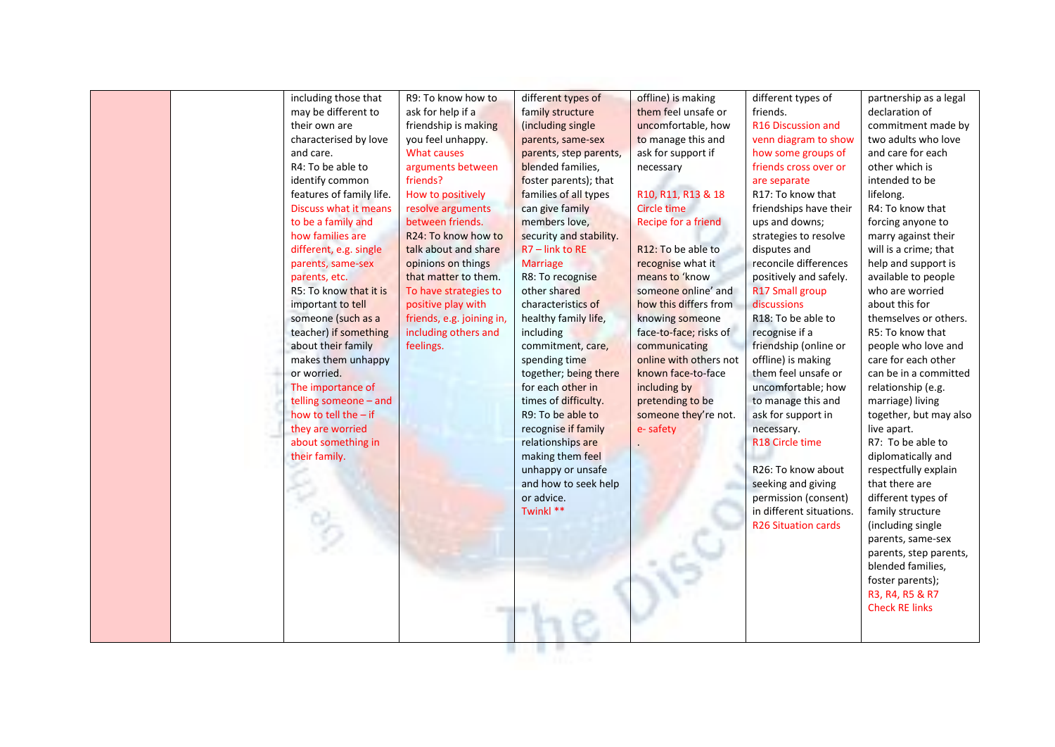|  | including those that<br>may be different to | R9: To know how to<br>ask for help if a    | different types of<br>family structure | offline) is making<br>them feel unsafe or | different types of<br>friends.              | partnership as a legal<br>declaration of   |
|--|---------------------------------------------|--------------------------------------------|----------------------------------------|-------------------------------------------|---------------------------------------------|--------------------------------------------|
|  | their own are                               | friendship is making                       | (including single)                     | uncomfortable, how                        | R16 Discussion and                          | commitment made by                         |
|  | characterised by love                       | you feel unhappy.                          | parents, same-sex                      | to manage this and                        | venn diagram to show                        | two adults who love                        |
|  | and care.                                   | What causes                                | parents, step parents,                 | ask for support if                        | how some groups of                          | and care for each                          |
|  | R4: To be able to                           | arguments between                          | blended families,                      | necessary                                 | friends cross over or                       | other which is                             |
|  | identify common                             | friends?                                   | foster parents); that                  |                                           | are separate                                | intended to be                             |
|  | features of family life.                    | How to positively                          | families of all types                  | R10, R11, R13 & 18                        | R17: To know that                           | lifelong.                                  |
|  | Discuss what it means                       | resolve arguments                          | can give family                        | <b>Circle time</b>                        | friendships have their                      | R4: To know that                           |
|  | to be a family and                          | between friends.                           | members love,                          | Recipe for a friend                       | ups and downs;                              | forcing anyone to                          |
|  | how families are                            | R <sub>24</sub> : To know how to           | security and stability.                |                                           | strategies to resolve                       | marry against their                        |
|  | different, e.g. single                      | talk about and share                       | $R7$ – link to RE                      | R12: To be able to                        | disputes and                                | will is a crime; that                      |
|  |                                             |                                            | <b>Marriage</b>                        | recognise what it                         | reconcile differences                       | help and support is                        |
|  | parents, same-sex<br>parents, etc.          | opinions on things<br>that matter to them. | R8: To recognise                       | means to 'know                            | positively and safely.                      | available to people                        |
|  | R5: To know that it is                      | To have strategies to                      | other shared                           | someone online' and                       | R17 Small group                             | who are worried                            |
|  | important to tell                           | positive play with                         | characteristics of                     | how this differs from                     | discussions                                 | about this for                             |
|  | someone (such as a                          | friends, e.g. joining in,                  | healthy family life,                   | knowing someone                           | R18: To be able to                          | themselves or others.                      |
|  | teacher) if something                       | including others and                       | including                              | face-to-face; risks of                    | recognise if a                              | R5: To know that                           |
|  |                                             | feelings.                                  |                                        |                                           |                                             |                                            |
|  | about their family<br>makes them unhappy    |                                            | commitment, care,                      | communicating<br>online with others not   | friendship (online or<br>offline) is making | people who love and<br>care for each other |
|  | or worried.                                 |                                            | spending time<br>together; being there | known face-to-face                        | them feel unsafe or                         | can be in a committed                      |
|  |                                             |                                            | for each other in                      |                                           |                                             |                                            |
|  | The importance of                           |                                            |                                        | including by                              | uncomfortable; how                          | relationship (e.g.                         |
|  | telling someone - and                       |                                            | times of difficulty.                   | pretending to be                          | to manage this and                          | marriage) living                           |
|  | how to tell the $-$ if                      |                                            | R9: To be able to                      | someone they're not.                      | ask for support in                          | together, but may also                     |
|  | they are worried                            |                                            | recognise if family                    | e-safety                                  | necessary.                                  | live apart.                                |
|  | about something in                          |                                            | relationships are                      |                                           | R18 Circle time                             | R7: To be able to                          |
|  | their family.                               |                                            | making them feel                       |                                           |                                             | diplomatically and                         |
|  |                                             |                                            | unhappy or unsafe                      |                                           | R26: To know about                          | respectfully explain                       |
|  |                                             |                                            | and how to seek help                   |                                           | seeking and giving                          | that there are                             |
|  |                                             |                                            | or advice.                             |                                           | permission (consent)                        | different types of                         |
|  |                                             |                                            | Twinkl **                              |                                           | in different situations.                    | family structure                           |
|  |                                             |                                            |                                        |                                           | <b>R26 Situation cards</b>                  | (including single                          |
|  |                                             |                                            |                                        |                                           |                                             | parents, same-sex                          |
|  |                                             |                                            |                                        |                                           |                                             | parents, step parents,                     |
|  |                                             |                                            |                                        |                                           |                                             | blended families,                          |
|  |                                             |                                            |                                        |                                           |                                             | foster parents);                           |
|  |                                             |                                            |                                        |                                           |                                             | R3, R4, R5 & R7                            |
|  |                                             |                                            |                                        |                                           |                                             | <b>Check RE links</b>                      |
|  |                                             |                                            |                                        |                                           |                                             |                                            |
|  |                                             |                                            |                                        |                                           |                                             |                                            |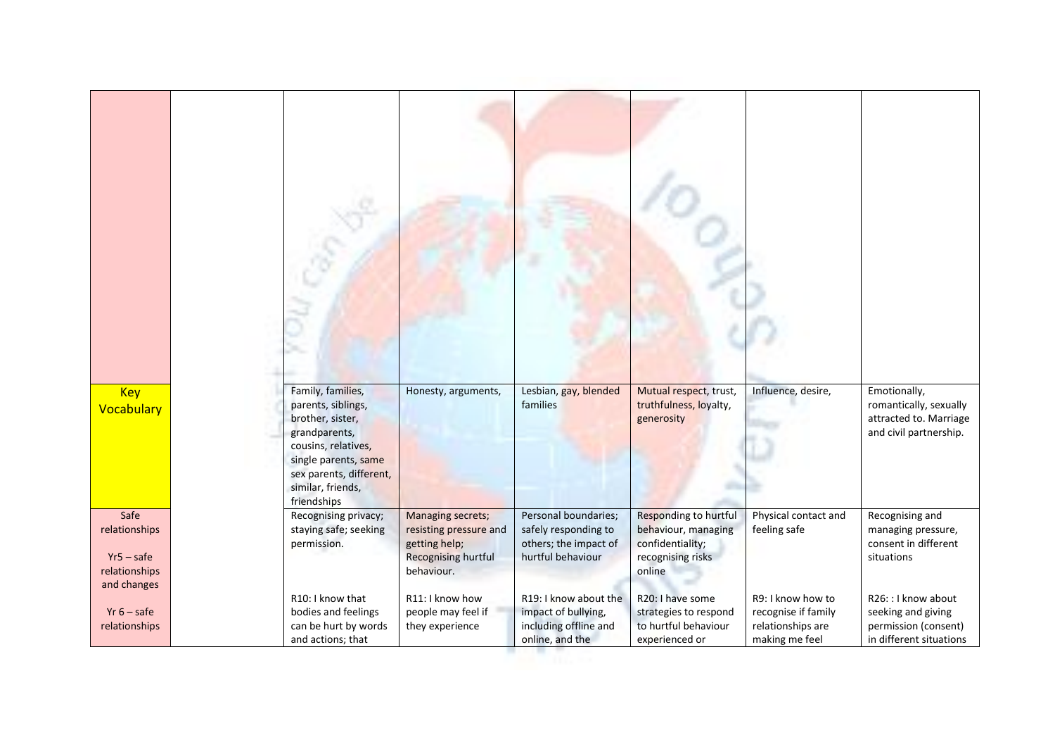| <b>Key</b>                                                            | Family, families,                                                                                                                                                     | Honesty, arguments,                                                                                             | Lesbian, gay, blended                                                                      | Mutual respect, trust,                                                                          | Influence, desire,                                                              | Emotionally,                                                                                 |
|-----------------------------------------------------------------------|-----------------------------------------------------------------------------------------------------------------------------------------------------------------------|-----------------------------------------------------------------------------------------------------------------|--------------------------------------------------------------------------------------------|-------------------------------------------------------------------------------------------------|---------------------------------------------------------------------------------|----------------------------------------------------------------------------------------------|
| Vocabulary                                                            | parents, siblings,<br>brother, sister,<br>grandparents,<br>cousins, relatives,<br>single parents, same<br>sex parents, different,<br>similar, friends,<br>friendships |                                                                                                                 | families                                                                                   | truthfulness, loyalty,<br>generosity                                                            |                                                                                 | romantically, sexually<br>attracted to. Marriage<br>and civil partnership.                   |
| Safe<br>relationships<br>$Yr5 - safe$<br>relationships<br>and changes | Recognising privacy;<br>staying safe; seeking<br>permission.                                                                                                          | <b>Managing secrets;</b><br>resisting pressure and<br>getting help;<br><b>Recognising hurtful</b><br>behaviour. | Personal boundaries;<br>safely responding to<br>others; the impact of<br>hurtful behaviour | Responding to hurtful<br>behaviour, managing<br>confidentiality;<br>recognising risks<br>online | Physical contact and<br>feeling safe                                            | Recognising and<br>managing pressure,<br>consent in different<br>situations                  |
| $Yr_6 - safe$<br>relationships                                        | R10: I know that<br>bodies and feelings<br>can be hurt by words<br>and actions; that                                                                                  | R11: I know how<br>people may feel if<br>they experience                                                        | R19: I know about the<br>impact of bullying,<br>including offline and<br>online, and the   | R20: I have some<br>strategies to respond<br>to hurtful behaviour<br>experienced or             | R9: I know how to<br>recognise if family<br>relationships are<br>making me feel | R26: : I know about<br>seeking and giving<br>permission (consent)<br>in different situations |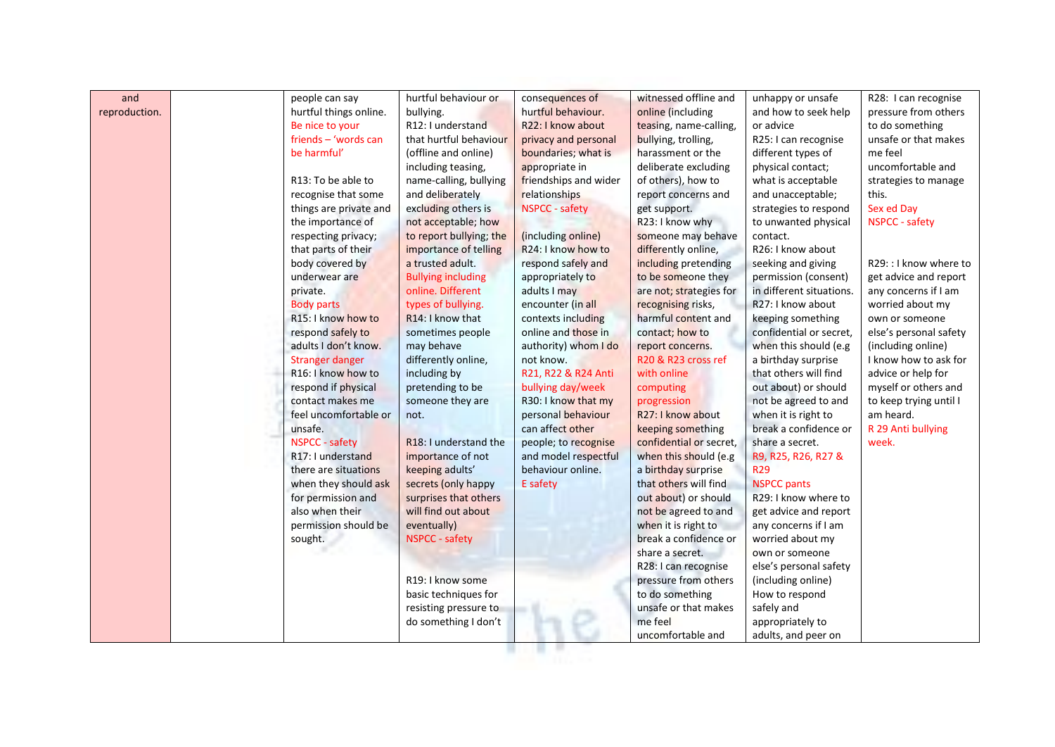| and           | people can say                  | hurtful behaviour or          | consequences of       | witnessed offline and   | unhappy or unsafe        | R28: I can recognise   |
|---------------|---------------------------------|-------------------------------|-----------------------|-------------------------|--------------------------|------------------------|
| reproduction. | hurtful things online.          | bullying.                     | hurtful behaviour.    | online (including       | and how to seek help     | pressure from others   |
|               | Be nice to your                 | R12: I understand             | R22: I know about     | teasing, name-calling,  | or advice                | to do something        |
|               | friends - 'words can            | that hurtful behaviour        | privacy and personal  | bullying, trolling,     | R25: I can recognise     | unsafe or that makes   |
|               | be harmful'                     | (offline and online)          | boundaries; what is   | harassment or the       | different types of       | me feel                |
|               |                                 | including teasing,            | appropriate in        | deliberate excluding    | physical contact;        | uncomfortable and      |
|               | R13: To be able to              | name-calling, bullying        | friendships and wider | of others), how to      | what is acceptable       | strategies to manage   |
|               | recognise that some             | and deliberately              | relationships         | report concerns and     | and unacceptable;        | this.                  |
|               | things are private and          | excluding others is           | <b>NSPCC</b> - safety | get support.            | strategies to respond    | Sex ed Day             |
|               | the importance of               | not acceptable; how           |                       | R23: I know why         | to unwanted physical     | NSPCC - safety         |
|               | respecting privacy;             | to report bullying; the       | (including online)    | someone may behave      | contact.                 |                        |
|               | that parts of their             | importance of telling         | R24: I know how to    | differently online,     | R26: I know about        |                        |
|               | body covered by                 | a trusted adult.              | respond safely and    | including pretending    | seeking and giving       | R29:: I know where to  |
|               | underwear are                   | <b>Bullying including</b>     | appropriately to      | to be someone they      | permission (consent)     | get advice and report  |
|               | private.                        | online. Different             | adults I may          | are not; strategies for | in different situations. | any concerns if I am   |
|               | <b>Body parts</b>               | types of bullying.            | encounter (in all     | recognising risks,      | R27: I know about        | worried about my       |
|               | R <sub>15</sub> : I know how to | R <sub>14</sub> : I know that | contexts including    | harmful content and     | keeping something        | own or someone         |
|               | respond safely to               | sometimes people              | online and those in   | contact; how to         | confidential or secret.  | else's personal safety |
|               | adults I don't know.            | may behave                    | authority) whom I do  | report concerns.        | when this should (e.g    | (including online)     |
|               | <b>Stranger danger</b>          | differently online,           | not know.             | R20 & R23 cross ref     | a birthday surprise      | I know how to ask for  |
|               | R16: I know how to              | including by                  | R21, R22 & R24 Anti   | with online             | that others will find    | advice or help for     |
|               | respond if physical             | pretending to be              | bullying day/week     | computing               | out about) or should     | myself or others and   |
|               | contact makes me                | someone they are              | R30: I know that my   | progression             | not be agreed to and     | to keep trying until I |
|               | feel uncomfortable or           | not.                          | personal behaviour    | R27: I know about       | when it is right to      | am heard.              |
|               | unsafe.                         |                               | can affect other      | keeping something       | break a confidence or    | R 29 Anti bullying     |
|               | <b>NSPCC - safety</b>           | R18: I understand the         | people; to recognise  | confidential or secret, | share a secret.          | week.                  |
|               | R17: I understand               | importance of not             | and model respectful  | when this should (e.g   | R9, R25, R26, R27 &      |                        |
|               | there are situations            | keeping adults'               | behaviour online.     | a birthday surprise     | <b>R29</b>               |                        |
|               | when they should ask            | secrets (only happy           | E safety              | that others will find   | <b>NSPCC pants</b>       |                        |
|               | for permission and              | surprises that others         |                       | out about) or should    | R29: I know where to     |                        |
|               | also when their                 | will find out about           |                       | not be agreed to and    | get advice and report    |                        |
|               | permission should be            | eventually)                   |                       | when it is right to     | any concerns if I am     |                        |
|               | sought.                         | <b>NSPCC - safety</b>         |                       | break a confidence or   | worried about my         |                        |
|               |                                 |                               |                       | share a secret.         | own or someone           |                        |
|               |                                 |                               |                       | R28: I can recognise    | else's personal safety   |                        |
|               |                                 | R19: I know some              |                       | pressure from others    | (including online)       |                        |
|               |                                 | basic techniques for          |                       | to do something         | How to respond           |                        |
|               |                                 | resisting pressure to         |                       | unsafe or that makes    | safely and               |                        |
|               |                                 | do something I don't          |                       | me feel                 | appropriately to         |                        |
|               |                                 |                               |                       | uncomfortable and       | adults, and peer on      |                        |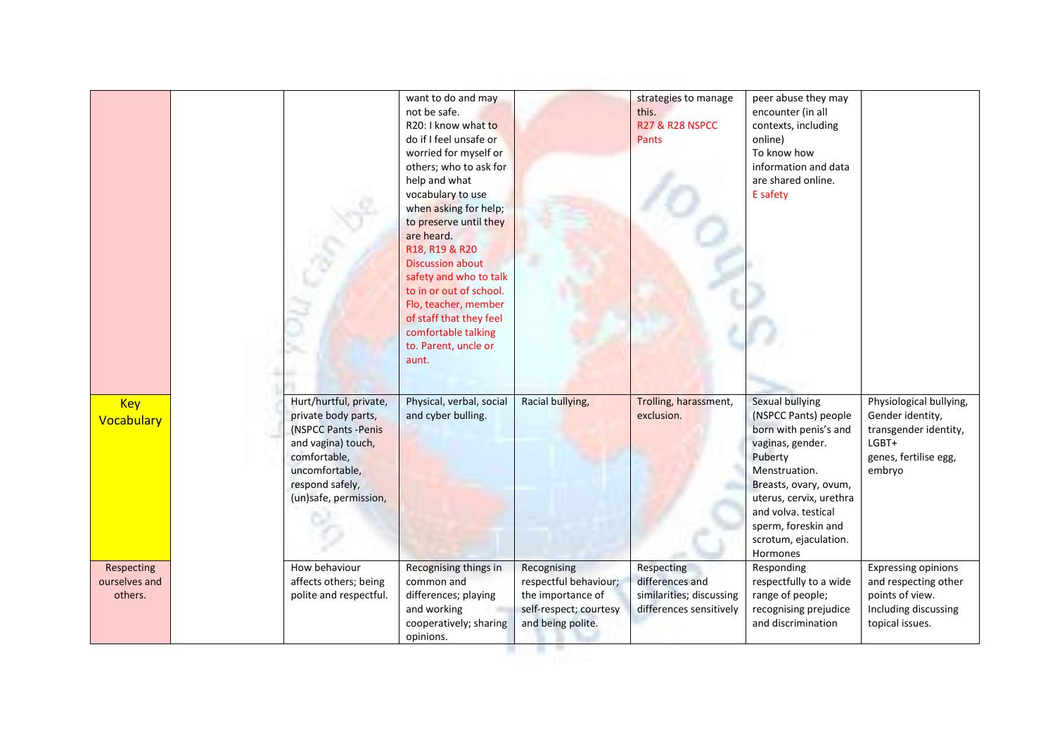|                                        |                                                                                                                                                                           | want to do and may<br>not be safe.<br>R20: I know what to<br>do if I feel unsafe or<br>worried for myself or<br>others; who to ask for<br>help and what<br>vocabulary to use<br>when asking for help;<br>to preserve until they<br>are heard.<br>R18, R19 & R20<br><b>Discussion about</b><br>safety and who to talk<br>to in or out of school.<br>Flo, teacher, member<br>of staff that they feel<br>comfortable talking<br>to. Parent, uncle or<br>aunt. |                                                                                                          | strategies to manage<br>this.<br><b>R27 &amp; R28 NSPCC</b><br>Pants                 | peer abuse they may<br>encounter (in all<br>contexts, including<br>online)<br>To know how<br>information and data<br>are shared online.<br>E safety                                                                                                     |                                                                                                                  |
|----------------------------------------|---------------------------------------------------------------------------------------------------------------------------------------------------------------------------|------------------------------------------------------------------------------------------------------------------------------------------------------------------------------------------------------------------------------------------------------------------------------------------------------------------------------------------------------------------------------------------------------------------------------------------------------------|----------------------------------------------------------------------------------------------------------|--------------------------------------------------------------------------------------|---------------------------------------------------------------------------------------------------------------------------------------------------------------------------------------------------------------------------------------------------------|------------------------------------------------------------------------------------------------------------------|
| <b>Key</b><br>Vocabulary               | Hurt/hurtful, private,<br>private body parts,<br>(NSPCC Pants - Penis<br>and vagina) touch,<br>comfortable,<br>uncomfortable,<br>respond safely,<br>(un)safe, permission, | Physical, verbal, social<br>and cyber bulling.                                                                                                                                                                                                                                                                                                                                                                                                             | Racial bullying,                                                                                         | Trolling, harassment,<br>exclusion.                                                  | Sexual bullying<br>(NSPCC Pants) people<br>born with penis's and<br>vaginas, gender.<br>Puberty<br>Menstruation.<br>Breasts, ovary, ovum,<br>uterus, cervix, urethra<br>and volva. testical<br>sperm, foreskin and<br>scrotum, ejaculation.<br>Hormones | Physiological bullying,<br>Gender identity,<br>transgender identity,<br>LGBT+<br>genes, fertilise egg,<br>embryo |
| Respecting<br>ourselves and<br>others. | How behaviour<br>affects others; being<br>polite and respectful.                                                                                                          | Recognising things in<br>common and<br>differences; playing<br>and working<br>cooperatively; sharing<br>opinions.                                                                                                                                                                                                                                                                                                                                          | Recognising<br>respectful behaviour;<br>the importance of<br>self-respect; courtesy<br>and being polite. | Respecting<br>differences and<br>similarities; discussing<br>differences sensitively | Responding<br>respectfully to a wide<br>range of people;<br>recognising prejudice<br>and discrimination                                                                                                                                                 | <b>Expressing opinions</b><br>and respecting other<br>points of view.<br>Including discussing<br>topical issues. |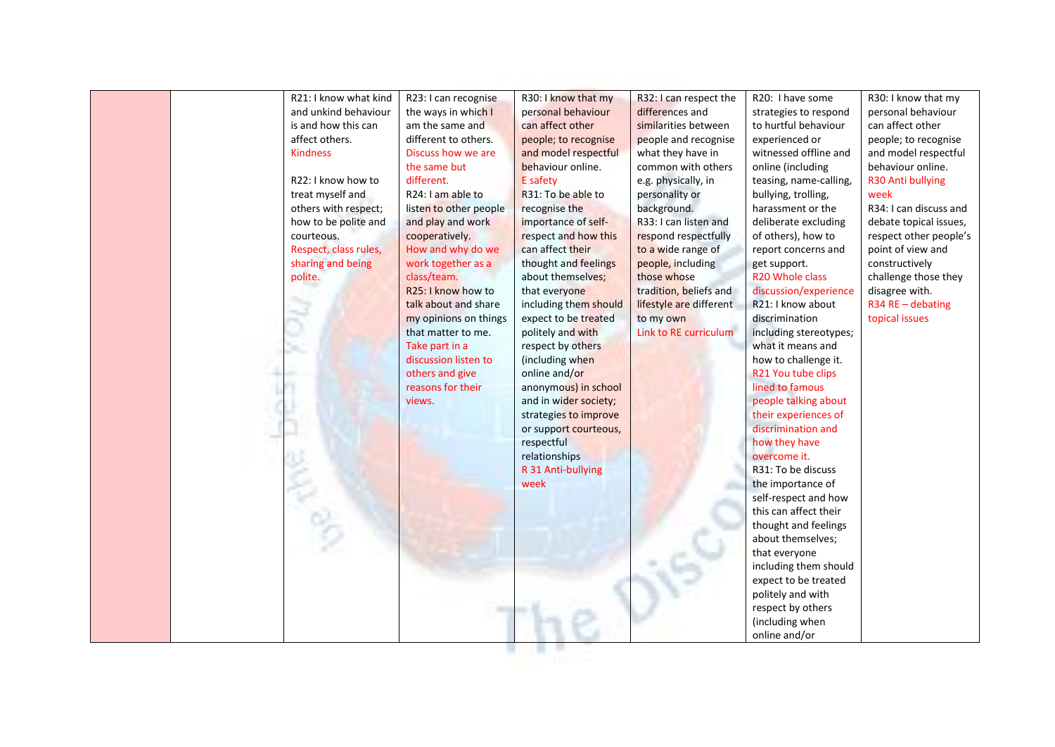